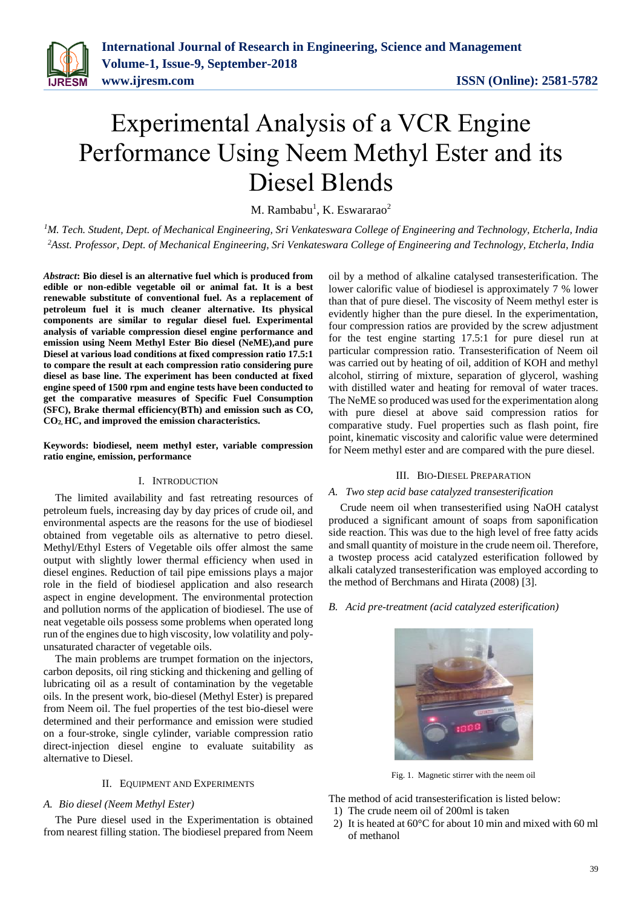# Experimental Analysis of a VCR Engine Performance Using Neem Methyl Ester and its Diesel Blends

M. Rambabu<sup>1</sup>, K. Eswararao<sup>2</sup>

*<sup>1</sup>M. Tech. Student, Dept. of Mechanical Engineering, Sri Venkateswara College of Engineering and Technology, Etcherla, India <sup>2</sup>Asst. Professor, Dept. of Mechanical Engineering, Sri Venkateswara College of Engineering and Technology, Etcherla, India*

*Abstract***: Bio diesel is an alternative fuel which is produced from edible or non-edible vegetable oil or animal fat. It is a best renewable substitute of conventional fuel. As a replacement of petroleum fuel it is much cleaner alternative. Its physical components are similar to regular diesel fuel. Experimental analysis of variable compression diesel engine performance and emission using Neem Methyl Ester Bio diesel (NeME),and pure Diesel at various load conditions at fixed compression ratio 17.5:1 to compare the result at each compression ratio considering pure diesel as base line. The experiment has been conducted at fixed engine speed of 1500 rpm and engine tests have been conducted to get the comparative measures of Specific Fuel Consumption (SFC), Brake thermal efficiency(BTh) and emission such as CO, CO2, HC, and improved the emission characteristics.** 

**Keywords: biodiesel, neem methyl ester, variable compression ratio engine, emission, performance**

## I. INTRODUCTION

The limited availability and fast retreating resources of petroleum fuels, increasing day by day prices of crude oil, and environmental aspects are the reasons for the use of biodiesel obtained from vegetable oils as alternative to petro diesel. Methyl/Ethyl Esters of Vegetable oils offer almost the same output with slightly lower thermal efficiency when used in diesel engines. Reduction of tail pipe emissions plays a major role in the field of biodiesel application and also research aspect in engine development. The environmental protection and pollution norms of the application of biodiesel. The use of neat vegetable oils possess some problems when operated long run of the engines due to high viscosity, low volatility and polyunsaturated character of vegetable oils.

The main problems are trumpet formation on the injectors, carbon deposits, oil ring sticking and thickening and gelling of lubricating oil as a result of contamination by the vegetable oils. In the present work, bio-diesel (Methyl Ester) is prepared from Neem oil. The fuel properties of the test bio-diesel were determined and their performance and emission were studied on a four-stroke, single cylinder, variable compression ratio direct-injection diesel engine to evaluate suitability as alternative to Diesel.

### II. EQUIPMENT AND EXPERIMENTS

#### *A. Bio diesel (Neem Methyl Ester)*

The Pure diesel used in the Experimentation is obtained from nearest filling station. The biodiesel prepared from Neem

oil by a method of alkaline catalysed transesterification. The lower calorific value of biodiesel is approximately 7 % lower than that of pure diesel. The viscosity of Neem methyl ester is evidently higher than the pure diesel. In the experimentation, four compression ratios are provided by the screw adjustment for the test engine starting 17.5:1 for pure diesel run at particular compression ratio. Transesterification of Neem oil was carried out by heating of oil, addition of KOH and methyl alcohol, stirring of mixture, separation of glycerol, washing with distilled water and heating for removal of water traces. The NeME so produced was used for the experimentation along with pure diesel at above said compression ratios for comparative study. Fuel properties such as flash point, fire point, kinematic viscosity and calorific value were determined for Neem methyl ester and are compared with the pure diesel.

#### III. BIO-DIESEL PREPARATION

#### *A. Two step acid base catalyzed transesterification*

Crude neem oil when transesterified using NaOH catalyst produced a significant amount of soaps from saponification side reaction. This was due to the high level of free fatty acids and small quantity of moisture in the crude neem oil. Therefore, a twostep process acid catalyzed esterification followed by alkali catalyzed transesterification was employed according to the method of Berchmans and Hirata (2008) [3].

*B. Acid pre-treatment (acid catalyzed esterification)*



Fig. 1. Magnetic stirrer with the neem oil

The method of acid transesterification is listed below:

- 1) The crude neem oil of 200ml is taken
- 2) It is heated at 60°C for about 10 min and mixed with 60 ml of methanol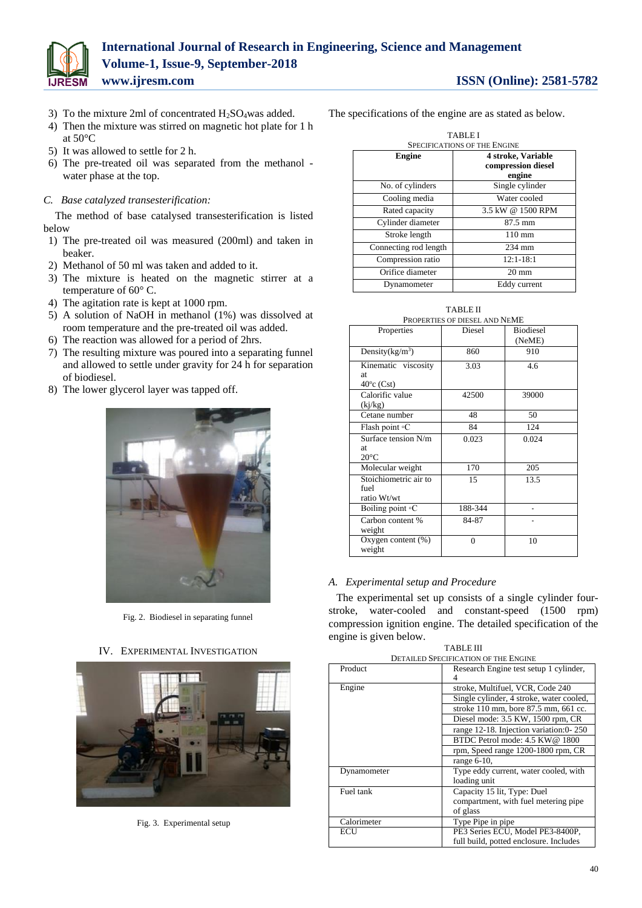

- 3) To the mixture 2ml of concentrated  $H_2SO_4$ was added.
- 4) Then the mixture was stirred on magnetic hot plate for 1 h at 50°C
- 5) It was allowed to settle for 2 h.
- 6) The pre-treated oil was separated from the methanol water phase at the top.
- *C. Base catalyzed transesterification:*

The method of base catalysed transesterification is listed below

- 1) The pre-treated oil was measured (200ml) and taken in beaker.
- 2) Methanol of 50 ml was taken and added to it.
- 3) The mixture is heated on the magnetic stirrer at a temperature of 60° C.
- 4) The agitation rate is kept at 1000 rpm.
- 5) A solution of NaOH in methanol (1%) was dissolved at room temperature and the pre-treated oil was added.
- 6) The reaction was allowed for a period of 2hrs.
- 7) The resulting mixture was poured into a separating funnel and allowed to settle under gravity for 24 h for separation of biodiesel.
- 8) The lower glycerol layer was tapped off.



Fig. 2. Biodiesel in separating funnel

IV. EXPERIMENTAL INVESTIGATION



Fig. 3. Experimental setup

The specifications of the engine are as stated as below.

| <b>TABLEI</b>                       |                                          |  |
|-------------------------------------|------------------------------------------|--|
| <b>SPECIFICATIONS OF THE ENGINE</b> |                                          |  |
| Engine                              | 4 stroke, Variable<br>compression diesel |  |
|                                     | engine                                   |  |
| No. of cylinders                    | Single cylinder                          |  |
| Cooling media                       | Water cooled                             |  |
| Rated capacity                      | 3.5 kW @ 1500 RPM                        |  |
| Cylinder diameter                   | $87.5 \text{ mm}$                        |  |
| Stroke length                       | $110 \text{ mm}$                         |  |
| Connecting rod length               | $234$ mm                                 |  |
| Compression ratio                   | $12:1 - 18:1$                            |  |
| Orifice diameter                    | $20 \text{ mm}$                          |  |
| Dynamometer                         | Eddy current                             |  |

TABLE II

| PROPERTIES OF DIESEL AND NEME                      |          |                            |  |  |
|----------------------------------------------------|----------|----------------------------|--|--|
| Properties                                         | Diesel   | <b>Biodiesel</b><br>(NeME) |  |  |
| Density $(kg/m^3)$                                 | 860      | 910                        |  |  |
| Kinematic viscosity<br>at.<br>$40^{\circ}$ c (Cst) | 3.03     | 4.6                        |  |  |
| Calorific value<br>(kj/kg)                         | 42500    | 39000                      |  |  |
| Cetane number                                      | 48       | 50                         |  |  |
| Flash point $\circ$ C                              | 84       | 124                        |  |  |
| Surface tension N/m<br>at.<br>$20^{\circ}$ C       | 0.023    | 0.024                      |  |  |
| Molecular weight                                   | 170      | 205                        |  |  |
| Stoichiometric air to<br>fuel<br>ratio Wt/wt       | 15       | 13.5                       |  |  |
| Boiling point $\circ$ C                            | 188-344  |                            |  |  |
| Carbon content %<br>weight                         | 84-87    |                            |  |  |
| Oxygen content $(\%)$<br>weight                    | $\theta$ | 10                         |  |  |

# *A. Experimental setup and Procedure*

The experimental set up consists of a single cylinder fourstroke, water-cooled and constant-speed (1500 rpm) compression ignition engine. The detailed specification of the engine is given below.

TABLE III

| <b>DETAILED SPECIFICATION OF THE ENGINE</b> |                                          |  |  |
|---------------------------------------------|------------------------------------------|--|--|
| Product                                     | Research Engine test setup 1 cylinder,   |  |  |
|                                             | 4                                        |  |  |
| Engine                                      | stroke, Multifuel, VCR, Code 240         |  |  |
|                                             | Single cylinder, 4 stroke, water cooled, |  |  |
|                                             | stroke 110 mm, bore 87.5 mm, 661 cc.     |  |  |
|                                             | Diesel mode: 3.5 KW, 1500 rpm, CR        |  |  |
|                                             | range 12-18. Injection variation:0-250   |  |  |
|                                             | BTDC Petrol mode: 4.5 KW@ 1800           |  |  |
|                                             | rpm, Speed range 1200-1800 rpm, CR       |  |  |
|                                             | range $6-10$ ,                           |  |  |
| Dynamometer                                 | Type eddy current, water cooled, with    |  |  |
|                                             | loading unit                             |  |  |
| Fuel tank                                   | Capacity 15 lit, Type: Duel              |  |  |
|                                             | compartment, with fuel metering pipe     |  |  |
|                                             | of glass                                 |  |  |
| Calorimeter                                 | Type Pipe in pipe                        |  |  |
| ECU                                         | PE3 Series ECU, Model PE3-8400P,         |  |  |
|                                             | full build, potted enclosure. Includes   |  |  |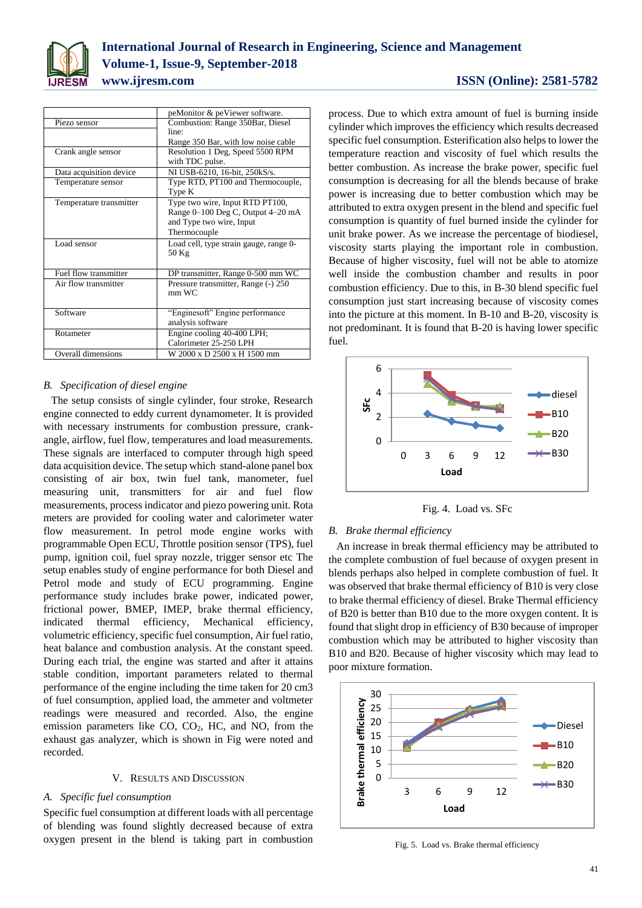

| <b>ISSN</b> (Online): 2581-5782 |  |  |  |
|---------------------------------|--|--|--|
|---------------------------------|--|--|--|

|                         | peMonitor & peViewer software.         |
|-------------------------|----------------------------------------|
| Piezo sensor            | Combustion: Range 350Bar, Diesel       |
|                         | line:                                  |
|                         | Range 350 Bar, with low noise cable    |
| Crank angle sensor      | Resolution 1 Deg, Speed 5500 RPM       |
|                         | with TDC pulse.                        |
| Data acquisition device | NI USB-6210, 16-bit, 250kS/s.          |
| Temperature sensor      | Type RTD, PT100 and Thermocouple,      |
|                         | Type K                                 |
| Temperature transmitter | Type two wire, Input RTD PT100,        |
|                         | Range 0-100 Deg C, Output 4-20 mA      |
|                         | and Type two wire, Input               |
|                         | Thermocouple                           |
| Load sensor             | Load cell, type strain gauge, range 0- |
|                         | 50 Kg                                  |
|                         |                                        |
| Fuel flow transmitter   | DP transmitter, Range 0-500 mm WC      |
| Air flow transmitter    | Pressure transmitter, Range (-) 250    |
|                         | $mm$ WC                                |
|                         |                                        |
| Software                | "Enginesoft" Engine performance        |
|                         | analysis software                      |
| Rotameter               | Engine cooling 40-400 LPH;             |
|                         | Calorimeter 25-250 LPH                 |
| Overall dimensions      | W 2000 x D 2500 x H 1500 mm            |

# *B. Specification of diesel engine*

The setup consists of single cylinder, four stroke, Research engine connected to eddy current dynamometer. It is provided with necessary instruments for combustion pressure, crankangle, airflow, fuel flow, temperatures and load measurements. These signals are interfaced to computer through high speed data acquisition device. The setup which stand-alone panel box consisting of air box, twin fuel tank, manometer, fuel measuring unit, transmitters for air and fuel flow measurements, process indicator and piezo powering unit. Rota meters are provided for cooling water and calorimeter water flow measurement. In petrol mode engine works with programmable Open ECU, Throttle position sensor (TPS), fuel pump, ignition coil, fuel spray nozzle, trigger sensor etc The setup enables study of engine performance for both Diesel and Petrol mode and study of ECU programming. Engine performance study includes brake power, indicated power, frictional power, BMEP, IMEP, brake thermal efficiency, indicated thermal efficiency, Mechanical efficiency, volumetric efficiency, specific fuel consumption, Air fuel ratio, heat balance and combustion analysis. At the constant speed. During each trial, the engine was started and after it attains stable condition, important parameters related to thermal performance of the engine including the time taken for 20 cm3 of fuel consumption, applied load, the ammeter and voltmeter readings were measured and recorded. Also, the engine emission parameters like CO, CO2, HC, and NO, from the exhaust gas analyzer, which is shown in Fig were noted and recorded.

#### V. RESULTS AND DISCUSSION

# *A. Specific fuel consumption*

Specific fuel consumption at different loads with all percentage of blending was found slightly decreased because of extra oxygen present in the blend is taking part in combustion

process. Due to which extra amount of fuel is burning inside cylinder which improves the efficiency which results decreased specific fuel consumption. Esterification also helps to lower the temperature reaction and viscosity of fuel which results the better combustion. As increase the brake power, specific fuel consumption is decreasing for all the blends because of brake power is increasing due to better combustion which may be attributed to extra oxygen present in the blend and specific fuel consumption is quantity of fuel burned inside the cylinder for unit brake power. As we increase the percentage of biodiesel, viscosity starts playing the important role in combustion. Because of higher viscosity, fuel will not be able to atomize well inside the combustion chamber and results in poor combustion efficiency. Due to this, in B-30 blend specific fuel consumption just start increasing because of viscosity comes into the picture at this moment. In B-10 and B-20, viscosity is not predominant. It is found that B-20 is having lower specific fuel.



Fig. 4. Load vs. SFc

#### *B. Brake thermal efficiency*

An increase in break thermal efficiency may be attributed to the complete combustion of fuel because of oxygen present in blends perhaps also helped in complete combustion of fuel. It was observed that brake thermal efficiency of B10 is very close to brake thermal efficiency of diesel. Brake Thermal efficiency of B20 is better than B10 due to the more oxygen content. It is found that slight drop in efficiency of B30 because of improper combustion which may be attributed to higher viscosity than B10 and B20. Because of higher viscosity which may lead to poor mixture formation.



Fig. 5. Load vs. Brake thermal efficiency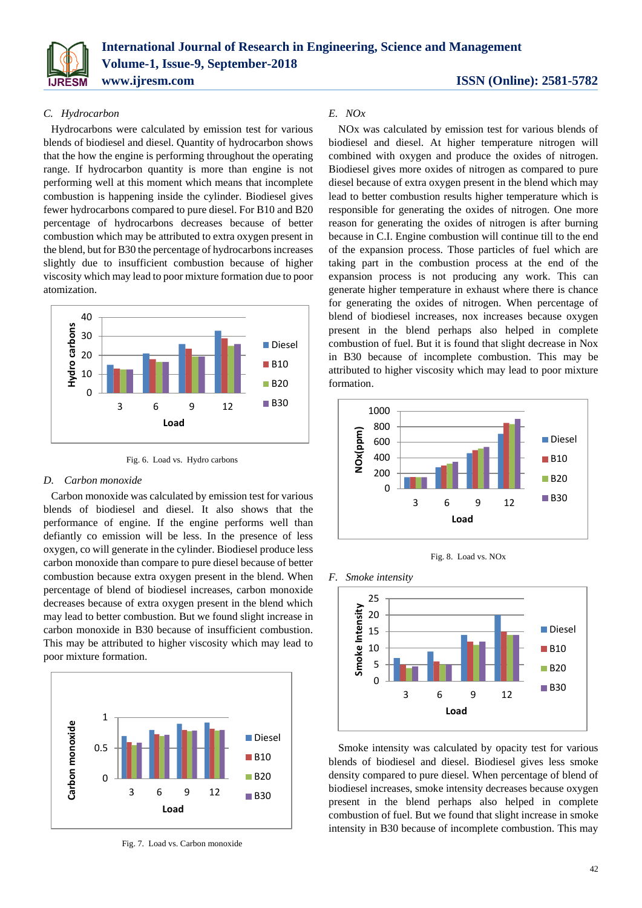

# *C. Hydrocarbon*

Hydrocarbons were calculated by emission test for various blends of biodiesel and diesel. Quantity of hydrocarbon shows that the how the engine is performing throughout the operating range. If hydrocarbon quantity is more than engine is not performing well at this moment which means that incomplete combustion is happening inside the cylinder. Biodiesel gives fewer hydrocarbons compared to pure diesel. For B10 and B20 percentage of hydrocarbons decreases because of better combustion which may be attributed to extra oxygen present in the blend, but for B30 the percentage of hydrocarbons increases slightly due to insufficient combustion because of higher viscosity which may lead to poor mixture formation due to poor atomization.



Fig. 6. Load vs. Hydro carbons

#### *D. Carbon monoxide*

Carbon monoxide was calculated by emission test for various blends of biodiesel and diesel. It also shows that the performance of engine. If the engine performs well than defiantly co emission will be less. In the presence of less oxygen, co will generate in the cylinder. Biodiesel produce less carbon monoxide than compare to pure diesel because of better combustion because extra oxygen present in the blend. When percentage of blend of biodiesel increases, carbon monoxide decreases because of extra oxygen present in the blend which may lead to better combustion. But we found slight increase in carbon monoxide in B30 because of insufficient combustion. This may be attributed to higher viscosity which may lead to poor mixture formation.



Fig. 7. Load vs. Carbon monoxide

# *E. NOx*

NOx was calculated by emission test for various blends of biodiesel and diesel. At higher temperature nitrogen will combined with oxygen and produce the oxides of nitrogen. Biodiesel gives more oxides of nitrogen as compared to pure diesel because of extra oxygen present in the blend which may lead to better combustion results higher temperature which is responsible for generating the oxides of nitrogen. One more reason for generating the oxides of nitrogen is after burning because in C.I. Engine combustion will continue till to the end of the expansion process. Those particles of fuel which are taking part in the combustion process at the end of the expansion process is not producing any work. This can generate higher temperature in exhaust where there is chance for generating the oxides of nitrogen. When percentage of blend of biodiesel increases, nox increases because oxygen present in the blend perhaps also helped in complete combustion of fuel. But it is found that slight decrease in Nox in B30 because of incomplete combustion. This may be attributed to higher viscosity which may lead to poor mixture formation.



Fig. 8. Load vs. NOx





Smoke intensity was calculated by opacity test for various blends of biodiesel and diesel. Biodiesel gives less smoke density compared to pure diesel. When percentage of blend of biodiesel increases, smoke intensity decreases because oxygen present in the blend perhaps also helped in complete combustion of fuel. But we found that slight increase in smoke intensity in B30 because of incomplete combustion. This may